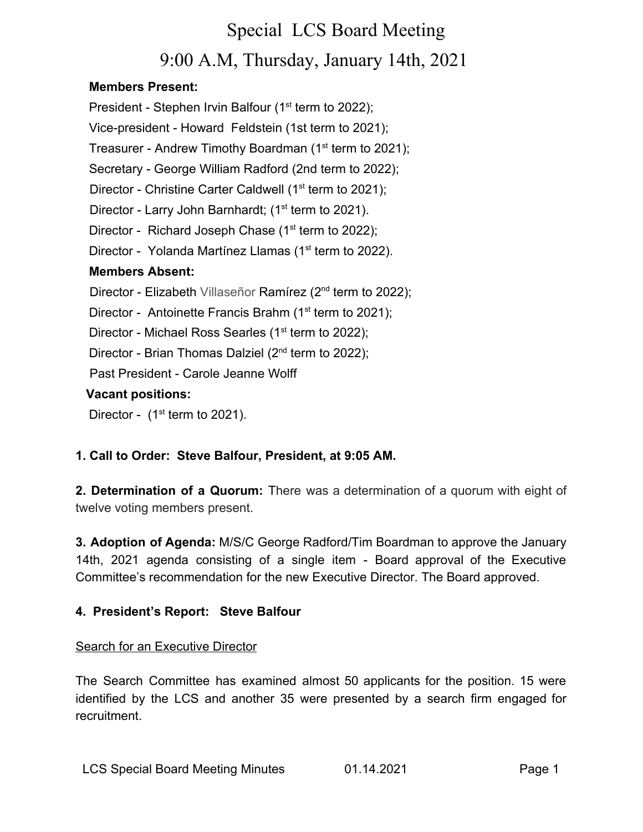# Special LCS Board Meeting 9:00 A.M, Thursday, January 14th, 2021

### **Members Present:**

President - Stephen Irvin Balfour (1<sup>st</sup> term to 2022); Vice-president - Howard Feldstein (1st term to 2021); Treasurer - Andrew Timothy Boardman (1<sup>st</sup> term to 2021); Secretary - George William Radford (2nd term to 2022); Director - Christine Carter Caldwell (1<sup>st</sup> term to 2021); Director - Larry John Barnhardt; (1<sup>st</sup> term to 2021). Director - Richard Joseph Chase  $(1<sup>st</sup>$  term to 2022); Director - Yolanda Martínez Llamas (1<sup>st</sup> term to 2022). **Members Absent:** Director - Elizabeth Villaseñor Ramírez (2<sup>nd</sup> term to 2022); Director - Antoinette Francis Brahm ( $1<sup>st</sup>$  term to 2021); Director - Michael Ross Searles (1<sup>st</sup> term to 2022); Director - Brian Thomas Dalziel (2<sup>nd</sup> term to 2022); Past President - Carole Jeanne Wolff **Vacant positions:** Director -  $(1<sup>st</sup>$  term to 2021).

# **1. Call to Order: Steve Balfour, President, at 9:05 AM.**

**2. Determination of a Quorum:** There was a determination of a quorum with eight of twelve voting members present.

**3. Adoption of Agenda:** M/S/C George Radford/Tim Boardman to approve the January 14th, 2021 agenda consisting of a single item - Board approval of the Executive Committee's recommendation for the new Executive Director. The Board approved.

# **4. President's Report: Steve Balfour**

### Search for an Executive Director

The Search Committee has examined almost 50 applicants for the position. 15 were identified by the LCS and another 35 were presented by a search firm engaged for recruitment.